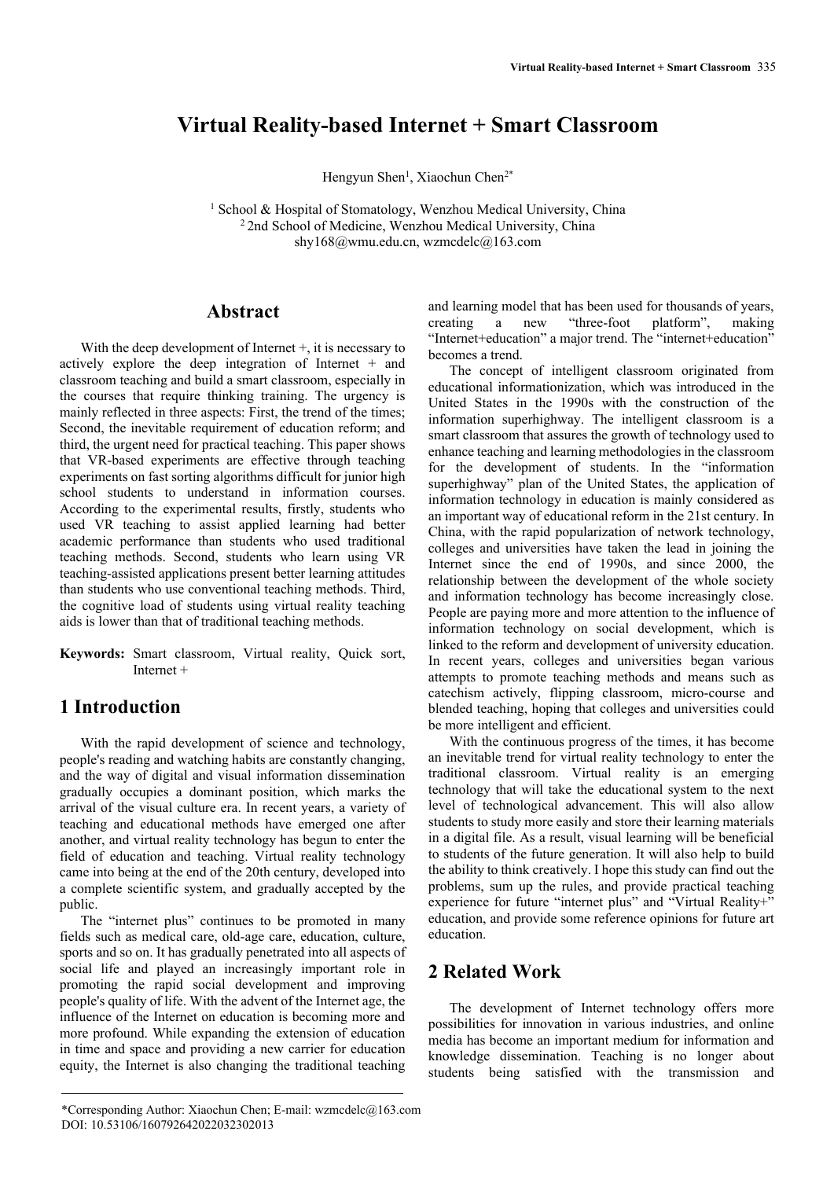# **Virtual Reality-based Internet + Smart Classroom**

Hengyun Shen<sup>1</sup>, Xiaochun Chen<sup>2\*</sup>

<sup>1</sup> School & Hospital of Stomatology, Wenzhou Medical University, China <sup>2</sup> 2nd School of Medicine, Wenzhou Medical University, China shy168@wmu.edu.cn, wzmcdelc@163.com

### **Abstract**

With the deep development of Internet  $+$ , it is necessary to actively explore the deep integration of Internet + and classroom teaching and build a smart classroom, especially in the courses that require thinking training. The urgency is mainly reflected in three aspects: First, the trend of the times; Second, the inevitable requirement of education reform; and third, the urgent need for practical teaching. This paper shows that VR-based experiments are effective through teaching experiments on fast sorting algorithms difficult for junior high school students to understand in information courses. According to the experimental results, firstly, students who used VR teaching to assist applied learning had better academic performance than students who used traditional teaching methods. Second, students who learn using VR teaching-assisted applications present better learning attitudes than students who use conventional teaching methods. Third, the cognitive load of students using virtual reality teaching aids is lower than that of traditional teaching methods.

**Keywords:** Smart classroom, Virtual reality, Quick sort, Internet +

## **1 Introduction**

With the rapid development of science and technology, people's reading and watching habits are constantly changing, and the way of digital and visual information dissemination gradually occupies a dominant position, which marks the arrival of the visual culture era. In recent years, a variety of teaching and educational methods have emerged one after another, and virtual reality technology has begun to enter the field of education and teaching. Virtual reality technology came into being at the end of the 20th century, developed into a complete scientific system, and gradually accepted by the public.

The "internet plus" continues to be promoted in many fields such as medical care, old-age care, education, culture, sports and so on. It has gradually penetrated into all aspects of social life and played an increasingly important role in promoting the rapid social development and improving people's quality of life. With the advent of the Internet age, the influence of the Internet on education is becoming more and more profound. While expanding the extension of education in time and space and providing a new carrier for education equity, the Internet is also changing the traditional teaching

and learning model that has been used for thousands of years, creating a new "three-foot platform", making "Internet+education" a major trend. The "internet+education" becomes a trend.

The concept of intelligent classroom originated from educational informationization, which was introduced in the United States in the 1990s with the construction of the information superhighway. The intelligent classroom is a smart classroom that assures the growth of technology used to enhance teaching and learning methodologies in the classroom for the development of students. In the "information superhighway" plan of the United States, the application of information technology in education is mainly considered as an important way of educational reform in the 21st century. In China, with the rapid popularization of network technology, colleges and universities have taken the lead in joining the Internet since the end of 1990s, and since 2000, the relationship between the development of the whole society and information technology has become increasingly close. People are paying more and more attention to the influence of information technology on social development, which is linked to the reform and development of university education. In recent years, colleges and universities began various attempts to promote teaching methods and means such as catechism actively, flipping classroom, micro-course and blended teaching, hoping that colleges and universities could be more intelligent and efficient.

With the continuous progress of the times, it has become an inevitable trend for virtual reality technology to enter the traditional classroom. Virtual reality is an emerging technology that will take the educational system to the next level of technological advancement. This will also allow students to study more easily and store their learning materials in a digital file. As a result, visual learning will be beneficial to students of the future generation. It will also help to build the ability to think creatively. I hope this study can find out the problems, sum up the rules, and provide practical teaching experience for future "internet plus" and "Virtual Reality+" education, and provide some reference opinions for future art education.

## **2 Related Work**

The development of Internet technology offers more possibilities for innovation in various industries, and online media has become an important medium for information and knowledge dissemination. Teaching is no longer about students being satisfied with the transmission and

<sup>\*</sup>Corresponding Author: Xiaochun Chen; E-mail: wzmcdelc@163.com DOI: 10.53106/160792642022032302013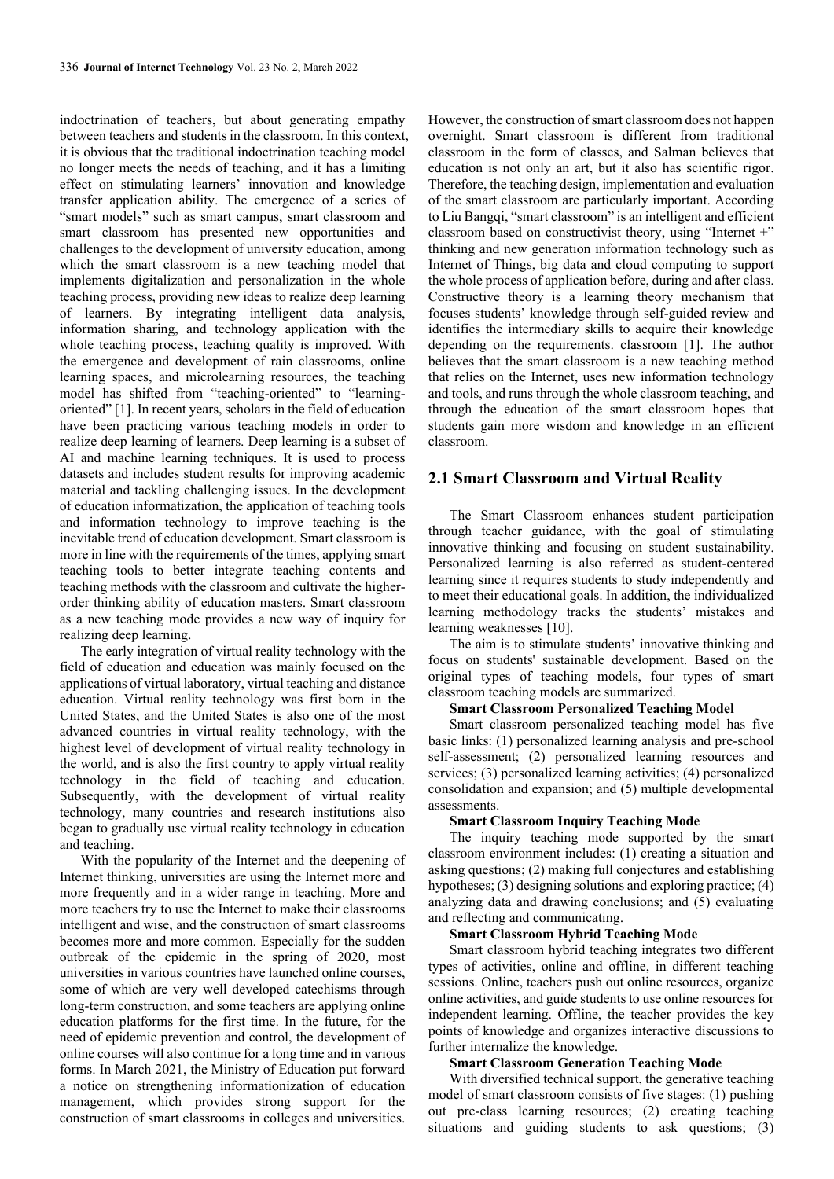indoctrination of teachers, but about generating empathy between teachers and students in the classroom. In this context, it is obvious that the traditional indoctrination teaching model no longer meets the needs of teaching, and it has a limiting effect on stimulating learners' innovation and knowledge transfer application ability. The emergence of a series of "smart models" such as smart campus, smart classroom and smart classroom has presented new opportunities and challenges to the development of university education, among which the smart classroom is a new teaching model that implements digitalization and personalization in the whole teaching process, providing new ideas to realize deep learning of learners. By integrating intelligent data analysis, information sharing, and technology application with the whole teaching process, teaching quality is improved. With the emergence and development of rain classrooms, online learning spaces, and microlearning resources, the teaching model has shifted from "teaching-oriented" to "learningoriented" [1]. In recent years, scholars in the field of education have been practicing various teaching models in order to realize deep learning of learners. Deep learning is a subset of AI and machine learning techniques. It is used to process datasets and includes student results for improving academic material and tackling challenging issues. In the development of education informatization, the application of teaching tools and information technology to improve teaching is the inevitable trend of education development. Smart classroom is more in line with the requirements of the times, applying smart teaching tools to better integrate teaching contents and teaching methods with the classroom and cultivate the higherorder thinking ability of education masters. Smart classroom as a new teaching mode provides a new way of inquiry for realizing deep learning.

The early integration of virtual reality technology with the field of education and education was mainly focused on the applications of virtual laboratory, virtual teaching and distance education. Virtual reality technology was first born in the United States, and the United States is also one of the most advanced countries in virtual reality technology, with the highest level of development of virtual reality technology in the world, and is also the first country to apply virtual reality technology in the field of teaching and education. Subsequently, with the development of virtual reality technology, many countries and research institutions also began to gradually use virtual reality technology in education and teaching.

With the popularity of the Internet and the deepening of Internet thinking, universities are using the Internet more and more frequently and in a wider range in teaching. More and more teachers try to use the Internet to make their classrooms intelligent and wise, and the construction of smart classrooms becomes more and more common. Especially for the sudden outbreak of the epidemic in the spring of 2020, most universities in various countries have launched online courses, some of which are very well developed catechisms through long-term construction, and some teachers are applying online education platforms for the first time. In the future, for the need of epidemic prevention and control, the development of online courses will also continue for a long time and in various forms. In March 2021, the Ministry of Education put forward a notice on strengthening informationization of education management, which provides strong support for the construction of smart classrooms in colleges and universities.

However, the construction of smart classroom does not happen overnight. Smart classroom is different from traditional classroom in the form of classes, and Salman believes that education is not only an art, but it also has scientific rigor. Therefore, the teaching design, implementation and evaluation of the smart classroom are particularly important. According to Liu Bangqi, "smart classroom" is an intelligent and efficient classroom based on constructivist theory, using "Internet +" thinking and new generation information technology such as Internet of Things, big data and cloud computing to support the whole process of application before, during and after class. Constructive theory is a learning theory mechanism that focuses students' knowledge through self-guided review and identifies the intermediary skills to acquire their knowledge depending on the requirements. classroom [1]. The author believes that the smart classroom is a new teaching method that relies on the Internet, uses new information technology and tools, and runs through the whole classroom teaching, and through the education of the smart classroom hopes that students gain more wisdom and knowledge in an efficient classroom.

### **2.1 Smart Classroom and Virtual Reality**

The Smart Classroom enhances student participation through teacher guidance, with the goal of stimulating innovative thinking and focusing on student sustainability. Personalized learning is also referred as student-centered learning since it requires students to study independently and to meet their educational goals. In addition, the individualized learning methodology tracks the students' mistakes and learning weaknesses [10].

The aim is to stimulate students' innovative thinking and focus on students' sustainable development. Based on the original types of teaching models, four types of smart classroom teaching models are summarized.

#### **Smart Classroom Personalized Teaching Model**

Smart classroom personalized teaching model has five basic links: (1) personalized learning analysis and pre-school self-assessment; (2) personalized learning resources and services; (3) personalized learning activities; (4) personalized consolidation and expansion; and (5) multiple developmental assessments.

#### **Smart Classroom Inquiry Teaching Mode**

The inquiry teaching mode supported by the smart classroom environment includes: (1) creating a situation and asking questions; (2) making full conjectures and establishing hypotheses; (3) designing solutions and exploring practice; (4) analyzing data and drawing conclusions; and (5) evaluating and reflecting and communicating.

#### **Smart Classroom Hybrid Teaching Mode**

Smart classroom hybrid teaching integrates two different types of activities, online and offline, in different teaching sessions. Online, teachers push out online resources, organize online activities, and guide students to use online resources for independent learning. Offline, the teacher provides the key points of knowledge and organizes interactive discussions to further internalize the knowledge.

#### **Smart Classroom Generation Teaching Mode**

With diversified technical support, the generative teaching model of smart classroom consists of five stages: (1) pushing out pre-class learning resources; (2) creating teaching situations and guiding students to ask questions; (3)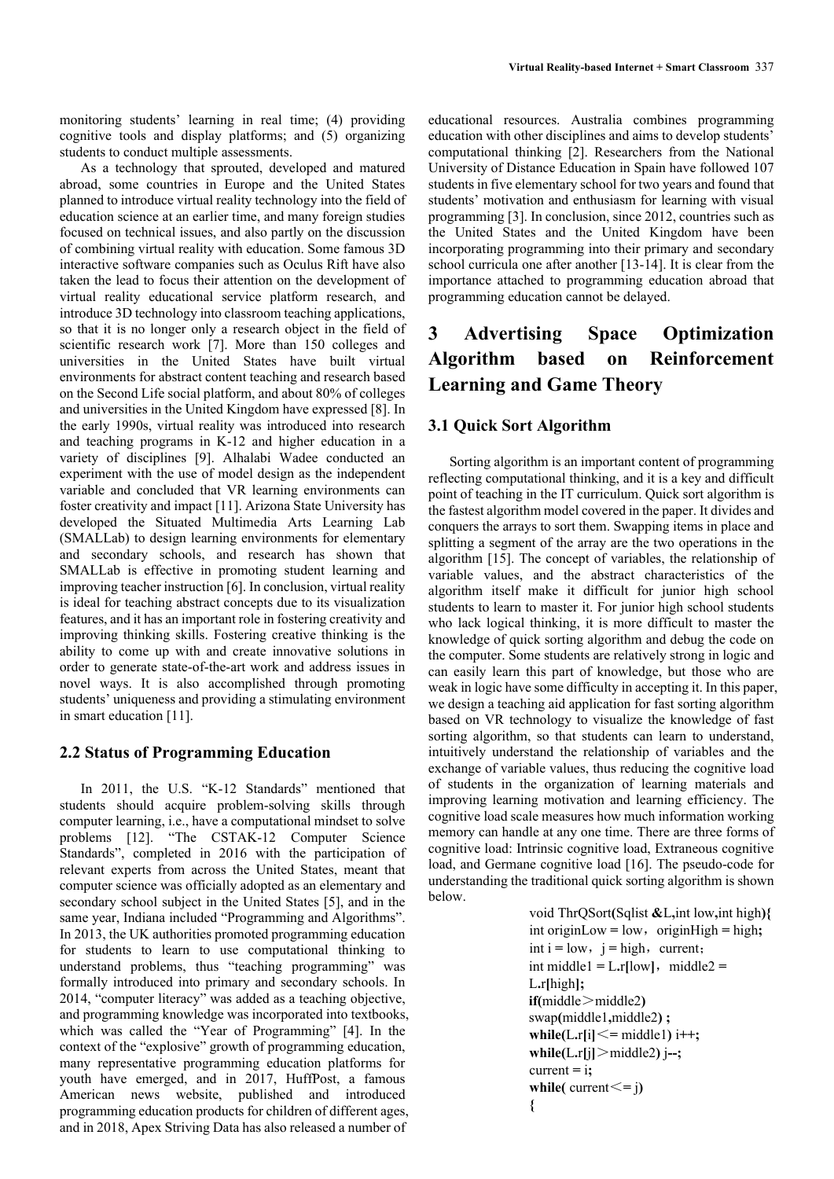monitoring students' learning in real time; (4) providing cognitive tools and display platforms; and (5) organizing students to conduct multiple assessments.

As a technology that sprouted, developed and matured abroad, some countries in Europe and the United States planned to introduce virtual reality technology into the field of education science at an earlier time, and many foreign studies focused on technical issues, and also partly on the discussion of combining virtual reality with education. Some famous 3D interactive software companies such as Oculus Rift have also taken the lead to focus their attention on the development of virtual reality educational service platform research, and introduce 3D technology into classroom teaching applications, so that it is no longer only a research object in the field of scientific research work [7]. More than 150 colleges and universities in the United States have built virtual environments for abstract content teaching and research based on the Second Life social platform, and about 80% of colleges and universities in the United Kingdom have expressed [8]. In the early 1990s, virtual reality was introduced into research and teaching programs in K-12 and higher education in a variety of disciplines [9]. Alhalabi Wadee conducted an experiment with the use of model design as the independent variable and concluded that VR learning environments can foster creativity and impact [11]. Arizona State University has developed the Situated Multimedia Arts Learning Lab (SMALLab) to design learning environments for elementary and secondary schools, and research has shown that SMALLab is effective in promoting student learning and improving teacher instruction [6]. In conclusion, virtual reality is ideal for teaching abstract concepts due to its visualization features, and it has an important role in fostering creativity and improving thinking skills. Fostering creative thinking is the ability to come up with and create innovative solutions in order to generate state-of-the-art work and address issues in novel ways. It is also accomplished through promoting students' uniqueness and providing a stimulating environment in smart education [11].

### **2.2 Status of Programming Education**

In 2011, the U.S. "K-12 Standards" mentioned that students should acquire problem-solving skills through computer learning, i.e., have a computational mindset to solve problems [12]. "The CSTAK-12 Computer Science Standards", completed in 2016 with the participation of relevant experts from across the United States, meant that computer science was officially adopted as an elementary and secondary school subject in the United States [5], and in the same year, Indiana included "Programming and Algorithms". In 2013, the UK authorities promoted programming education for students to learn to use computational thinking to understand problems, thus "teaching programming" was formally introduced into primary and secondary schools. In 2014, "computer literacy" was added as a teaching objective, and programming knowledge was incorporated into textbooks, which was called the "Year of Programming" [4]. In the context of the "explosive" growth of programming education, many representative programming education platforms for youth have emerged, and in 2017, HuffPost, a famous American news website, published and introduced programming education products for children of different ages, and in 2018, Apex Striving Data has also released a number of

educational resources. Australia combines programming education with other disciplines and aims to develop students' computational thinking [2]. Researchers from the National University of Distance Education in Spain have followed 107 students in five elementary school for two years and found that students' motivation and enthusiasm for learning with visual programming [3]. In conclusion, since 2012, countries such as the United States and the United Kingdom have been incorporating programming into their primary and secondary school curricula one after another [13-14]. It is clear from the importance attached to programming education abroad that programming education cannot be delayed.

# **3 Advertising Space Optimization Algorithm based on Reinforcement Learning and Game Theory**

### **3.1 Quick Sort Algorithm**

Sorting algorithm is an important content of programming reflecting computational thinking, and it is a key and difficult point of teaching in the IT curriculum. Quick sort algorithm is the fastest algorithm model covered in the paper. It divides and conquers the arrays to sort them. Swapping items in place and splitting a segment of the array are the two operations in the algorithm [15]. The concept of variables, the relationship of variable values, and the abstract characteristics of the algorithm itself make it difficult for junior high school students to learn to master it. For junior high school students who lack logical thinking, it is more difficult to master the knowledge of quick sorting algorithm and debug the code on the computer. Some students are relatively strong in logic and can easily learn this part of knowledge, but those who are weak in logic have some difficulty in accepting it. In this paper, we design a teaching aid application for fast sorting algorithm based on VR technology to visualize the knowledge of fast sorting algorithm, so that students can learn to understand, intuitively understand the relationship of variables and the exchange of variable values, thus reducing the cognitive load of students in the organization of learning materials and improving learning motivation and learning efficiency. The cognitive load scale measures how much information working memory can handle at any one time. There are three forms of cognitive load: Intrinsic cognitive load, Extraneous cognitive load, and Germane cognitive load [16]. The pseudo-code for understanding the traditional quick sorting algorithm is shown below.

```
void ThrQSort(Sqlist &L,int low,int high){
int originLow = low, originHigh = high;
int i = low, j = high, current;
int middle1 = L <b>r</b>[low], midde2 =L.r[high];
if(middle>middle2)
swap(middle1,middle2) ;
while(L \cdot r[i] \leq middle1) i<sup>++</sup>;
while(L.r[j]>middle2) j--;
current = i;
while( current\leq = j)
{
```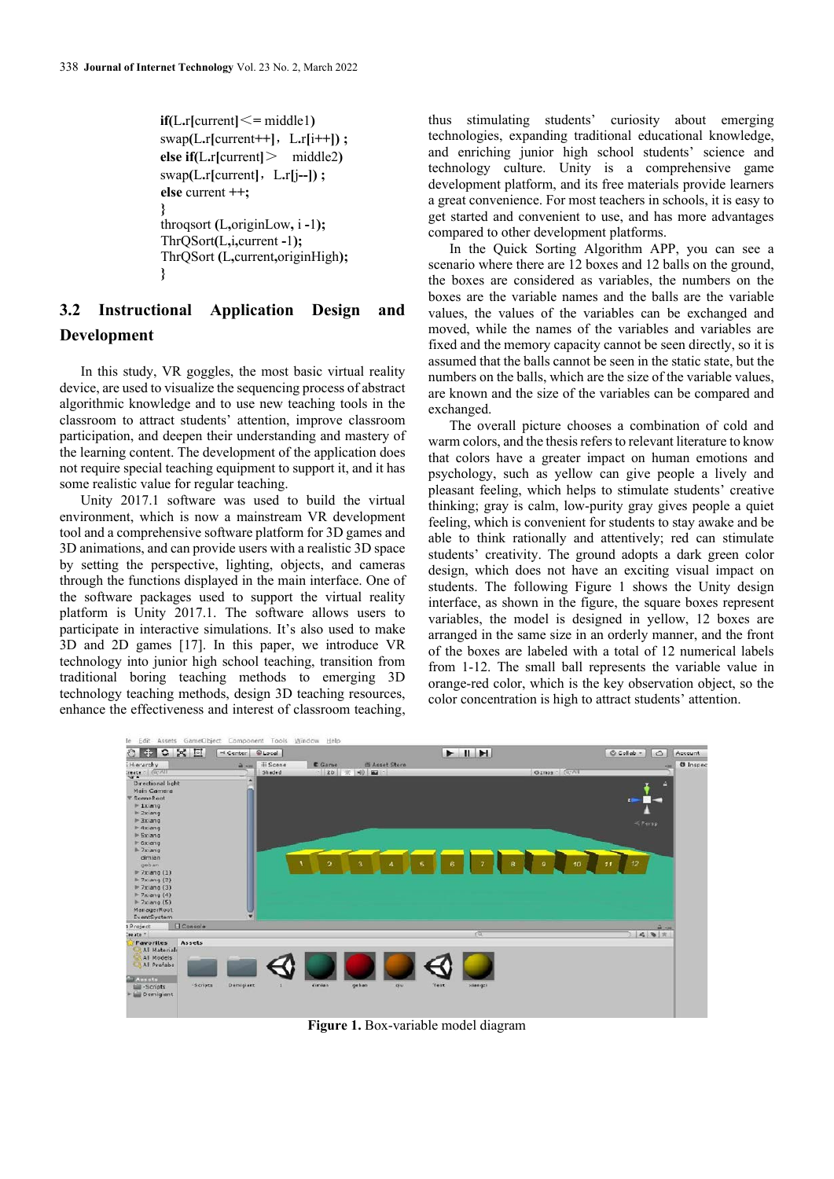```
if(L.r[current] \leq = middle1)\text{swap}(L.\text{r}[\text{current++}], L.\text{r}[i++);
else if(L.r[current]> middle2)
swap(L.r[current],L.r[j--]) ; 
else current ++;
}
throqsort (L,originLow, i -1);
ThrQSort(L,i,current -1);
ThrQSort (L,current,originHigh);
}
```
# **3.2 Instructional Application Design and Development**

In this study, VR goggles, the most basic virtual reality device, are used to visualize the sequencing process of abstract algorithmic knowledge and to use new teaching tools in the classroom to attract students' attention, improve classroom participation, and deepen their understanding and mastery of the learning content. The development of the application does not require special teaching equipment to support it, and it has some realistic value for regular teaching.

Unity 2017.1 software was used to build the virtual environment, which is now a mainstream VR development tool and a comprehensive software platform for 3D games and 3D animations, and can provide users with a realistic 3D space by setting the perspective, lighting, objects, and cameras through the functions displayed in the main interface. One of the software packages used to support the virtual reality platform is Unity 2017.1. The software allows users to participate in interactive simulations. It's also used to make 3D and 2D games [17]. In this paper, we introduce VR technology into junior high school teaching, transition from traditional boring teaching methods to emerging 3D technology teaching methods, design 3D teaching resources, enhance the effectiveness and interest of classroom teaching,

thus stimulating students' curiosity about emerging technologies, expanding traditional educational knowledge, and enriching junior high school students' science and technology culture. Unity is a comprehensive game development platform, and its free materials provide learners a great convenience. For most teachers in schools, it is easy to get started and convenient to use, and has more advantages compared to other development platforms.

In the Quick Sorting Algorithm APP, you can see a scenario where there are 12 boxes and 12 balls on the ground, the boxes are considered as variables, the numbers on the boxes are the variable names and the balls are the variable values, the values of the variables can be exchanged and moved, while the names of the variables and variables are fixed and the memory capacity cannot be seen directly, so it is assumed that the balls cannot be seen in the static state, but the numbers on the balls, which are the size of the variable values, are known and the size of the variables can be compared and exchanged.

The overall picture chooses a combination of cold and warm colors, and the thesis refers to relevant literature to know that colors have a greater impact on human emotions and psychology, such as yellow can give people a lively and pleasant feeling, which helps to stimulate students' creative thinking; gray is calm, low-purity gray gives people a quiet feeling, which is convenient for students to stay awake and be able to think rationally and attentively; red can stimulate students' creativity. The ground adopts a dark green color design, which does not have an exciting visual impact on students. The following Figure 1 shows the Unity design interface, as shown in the figure, the square boxes represent variables, the model is designed in yellow, 12 boxes are arranged in the same size in an orderly manner, and the front of the boxes are labeled with a total of 12 numerical labels from 1-12. The small ball represents the variable value in orange-red color, which is the key observation object, so the color concentration is high to attract students' attention.



**Figure 1.** Box-variable model diagram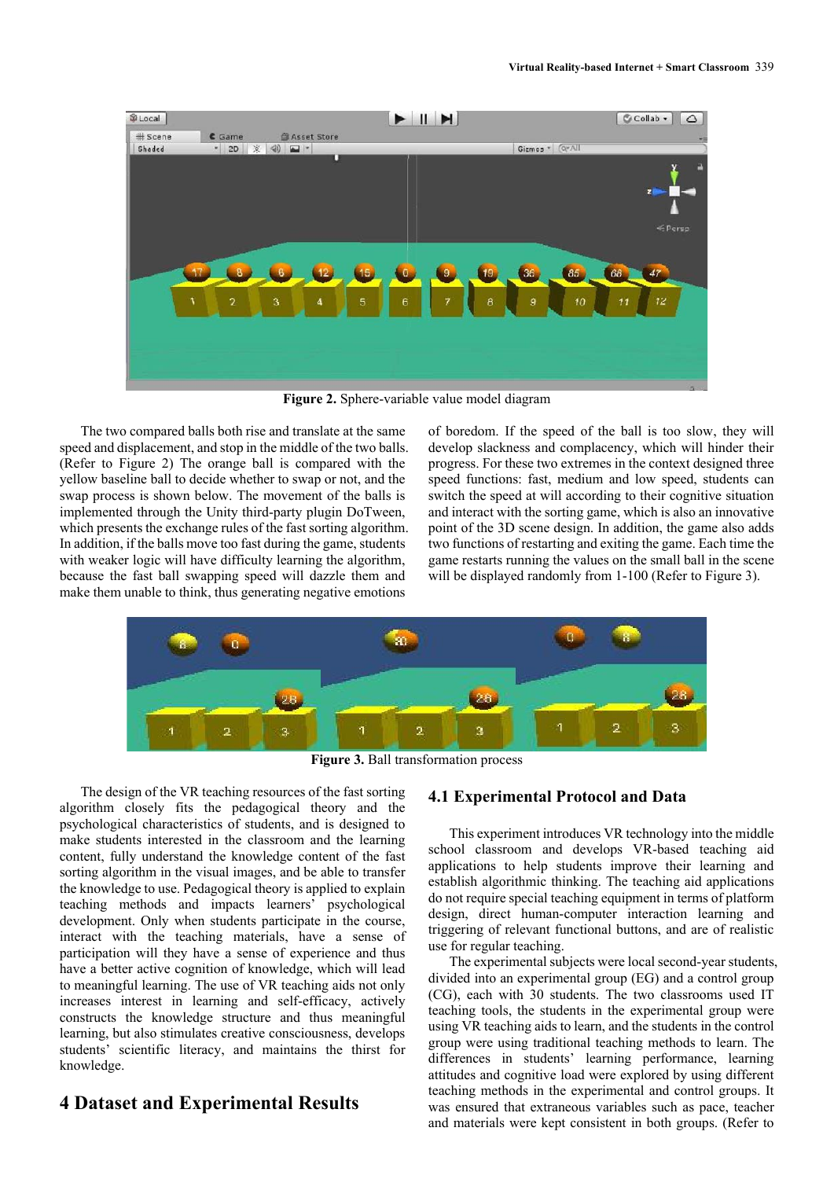

**Figure 2.** Sphere-variable value model diagram

The two compared balls both rise and translate at the same speed and displacement, and stop in the middle of the two balls. (Refer to Figure 2) The orange ball is compared with the yellow baseline ball to decide whether to swap or not, and the swap process is shown below. The movement of the balls is implemented through the Unity third-party plugin DoTween, which presents the exchange rules of the fast sorting algorithm. In addition, if the balls move too fast during the game, students with weaker logic will have difficulty learning the algorithm, because the fast ball swapping speed will dazzle them and make them unable to think, thus generating negative emotions

of boredom. If the speed of the ball is too slow, they will develop slackness and complacency, which will hinder their progress. For these two extremes in the context designed three speed functions: fast, medium and low speed, students can switch the speed at will according to their cognitive situation and interact with the sorting game, which is also an innovative point of the 3D scene design. In addition, the game also adds two functions of restarting and exiting the game. Each time the game restarts running the values on the small ball in the scene will be displayed randomly from 1-100 (Refer to Figure 3).



**Figure 3.** Ball transformation process

The design of the VR teaching resources of the fast sorting algorithm closely fits the pedagogical theory and the psychological characteristics of students, and is designed to make students interested in the classroom and the learning content, fully understand the knowledge content of the fast sorting algorithm in the visual images, and be able to transfer the knowledge to use. Pedagogical theory is applied to explain teaching methods and impacts learners' psychological development. Only when students participate in the course, interact with the teaching materials, have a sense of participation will they have a sense of experience and thus have a better active cognition of knowledge, which will lead to meaningful learning. The use of VR teaching aids not only increases interest in learning and self-efficacy, actively constructs the knowledge structure and thus meaningful learning, but also stimulates creative consciousness, develops students' scientific literacy, and maintains the thirst for knowledge.

## **4 Dataset and Experimental Results**

#### **4.1 Experimental Protocol and Data**

This experiment introduces VR technology into the middle school classroom and develops VR-based teaching aid applications to help students improve their learning and establish algorithmic thinking. The teaching aid applications do not require special teaching equipment in terms of platform design, direct human-computer interaction learning and triggering of relevant functional buttons, and are of realistic use for regular teaching.

The experimental subjects were local second-year students, divided into an experimental group (EG) and a control group (CG), each with 30 students. The two classrooms used IT teaching tools, the students in the experimental group were using VR teaching aids to learn, and the students in the control group were using traditional teaching methods to learn. The differences in students' learning performance, learning attitudes and cognitive load were explored by using different teaching methods in the experimental and control groups. It was ensured that extraneous variables such as pace, teacher and materials were kept consistent in both groups. (Refer to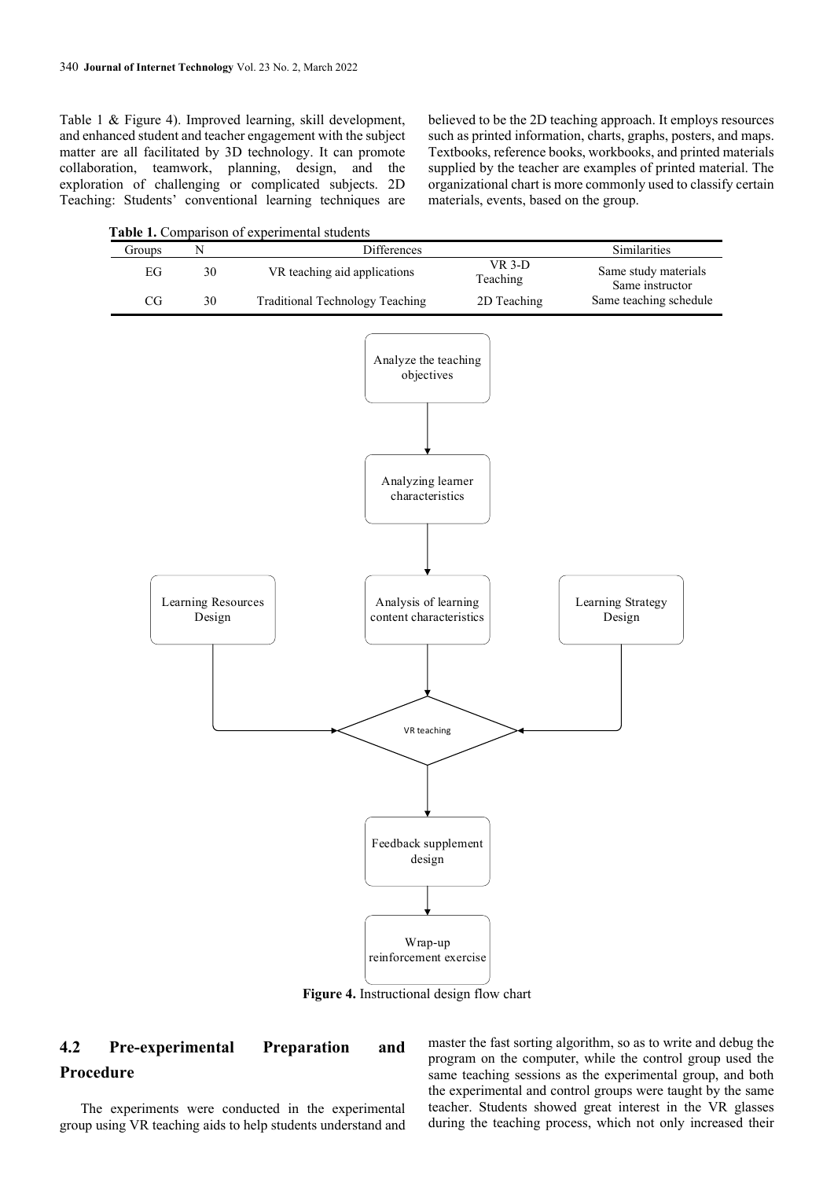Table 1 & Figure 4). Improved learning, skill development, and enhanced student and teacher engagement with the subject matter are all facilitated by 3D technology. It can promote collaboration, teamwork, planning, design, and the exploration of challenging or complicated subjects. 2D Teaching: Students' conventional learning techniques are believed to be the 2D teaching approach. It employs resources such as printed information, charts, graphs, posters, and maps. Textbooks, reference books, workbooks, and printed materials supplied by the teacher are examples of printed material. The organizational chart is more commonly used to classify certain materials, events, based on the group.

**Table 1.** Comparison of experimental students

| Groups     | ${\bf N}$                    |                                 | Differences                                                                                                                                  |                      | Similarities                                   |
|------------|------------------------------|---------------------------------|----------------------------------------------------------------------------------------------------------------------------------------------|----------------------|------------------------------------------------|
| ${\rm EG}$ | 30                           | VR teaching aid applications    |                                                                                                                                              | $VR$ 3-D<br>Teaching | Same study materials                           |
| $\rm CG$   | $30\,$                       | Traditional Technology Teaching |                                                                                                                                              | 2D Teaching          | Same teaching schedule                         |
|            | Learning Resources<br>Design |                                 | Analyze the teaching<br>objectives<br>Analyzing learner<br>characteristics<br>Analysis of learning<br>content characteristics<br>VR teaching |                      | Same instructor<br>Learning Strategy<br>Design |
|            |                              |                                 | Feedback supplement<br>design<br>Wrap-up<br>reinforcement exercise                                                                           |                      |                                                |

**Figure 4.** Instructional design flow chart

# **4.2 Pre-experimental Preparation and Procedure**

The experiments were conducted in the experimental group using VR teaching aids to help students understand and master the fast sorting algorithm, so as to write and debug the program on the computer, while the control group used the same teaching sessions as the experimental group, and both the experimental and control groups were taught by the same teacher. Students showed great interest in the VR glasses during the teaching process, which not only increased their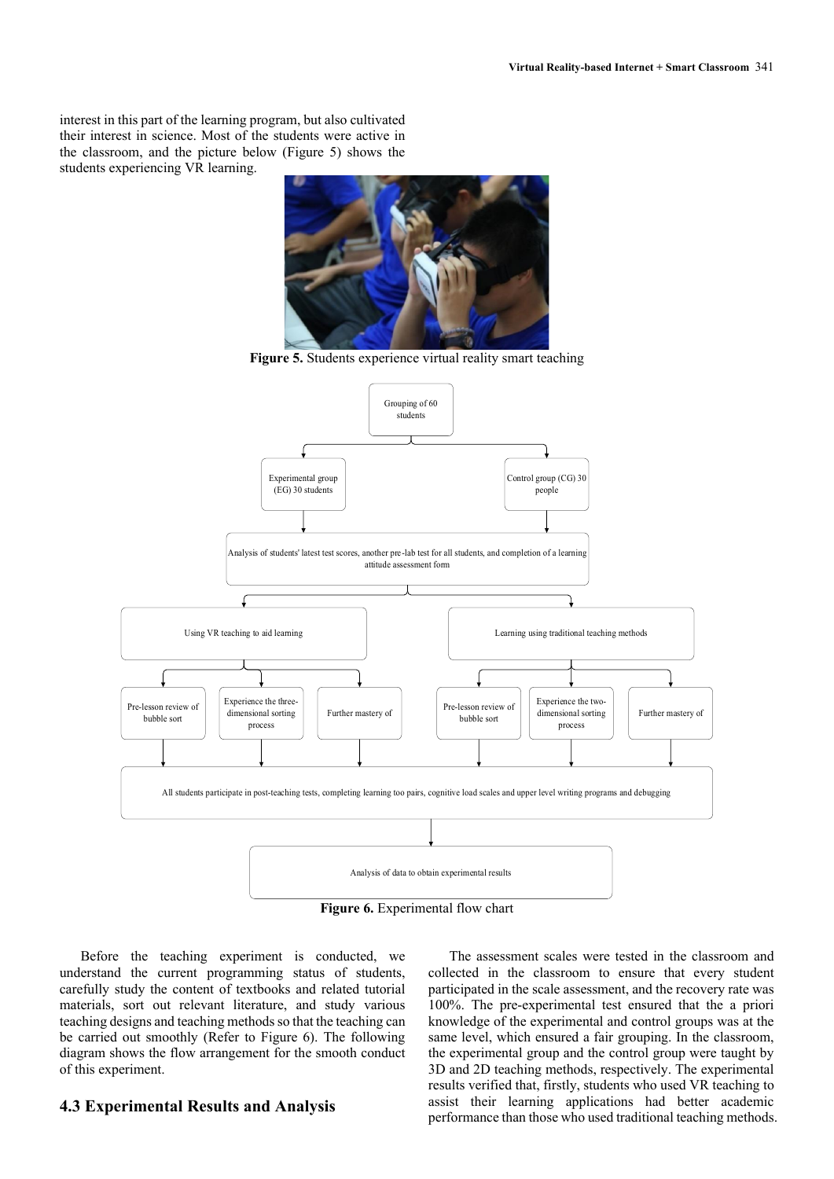interest in this part of the learning program, but also cultivated their interest in science. Most of the students were active in the classroom, and the picture below (Figure 5) shows the students experiencing VR learning.



Grouping of 60 students Experimental group (EG) 30 students Control group (CG) 30 people Analysis of students' latest test scores, another pre-lab test for all students, and completion of a learning attitude assessment form Using VR teaching to aid learning Learning Learning using traditional teaching methods All students participate in post-teaching tests, completing learning too pairs, cognitive load scales and upper level writing programs and debugging Pre-lesson review of bubble sort Experience the threedimensional sorting process Further mastery of **Pre-lesson review of** bubble sort Experience the twodimensional sorting process Further mastery of Analysis of data to obtain experimental results

**Figure 5.** Students experience virtual reality smart teaching

**Figure 6.** Experimental flow chart

Before the teaching experiment is conducted, we understand the current programming status of students, carefully study the content of textbooks and related tutorial materials, sort out relevant literature, and study various teaching designs and teaching methods so that the teaching can be carried out smoothly (Refer to Figure 6). The following diagram shows the flow arrangement for the smooth conduct of this experiment.

#### **4.3 Experimental Results and Analysis**

The assessment scales were tested in the classroom and collected in the classroom to ensure that every student participated in the scale assessment, and the recovery rate was 100%. The pre-experimental test ensured that the a priori knowledge of the experimental and control groups was at the same level, which ensured a fair grouping. In the classroom, the experimental group and the control group were taught by 3D and 2D teaching methods, respectively. The experimental results verified that, firstly, students who used VR teaching to assist their learning applications had better academic performance than those who used traditional teaching methods.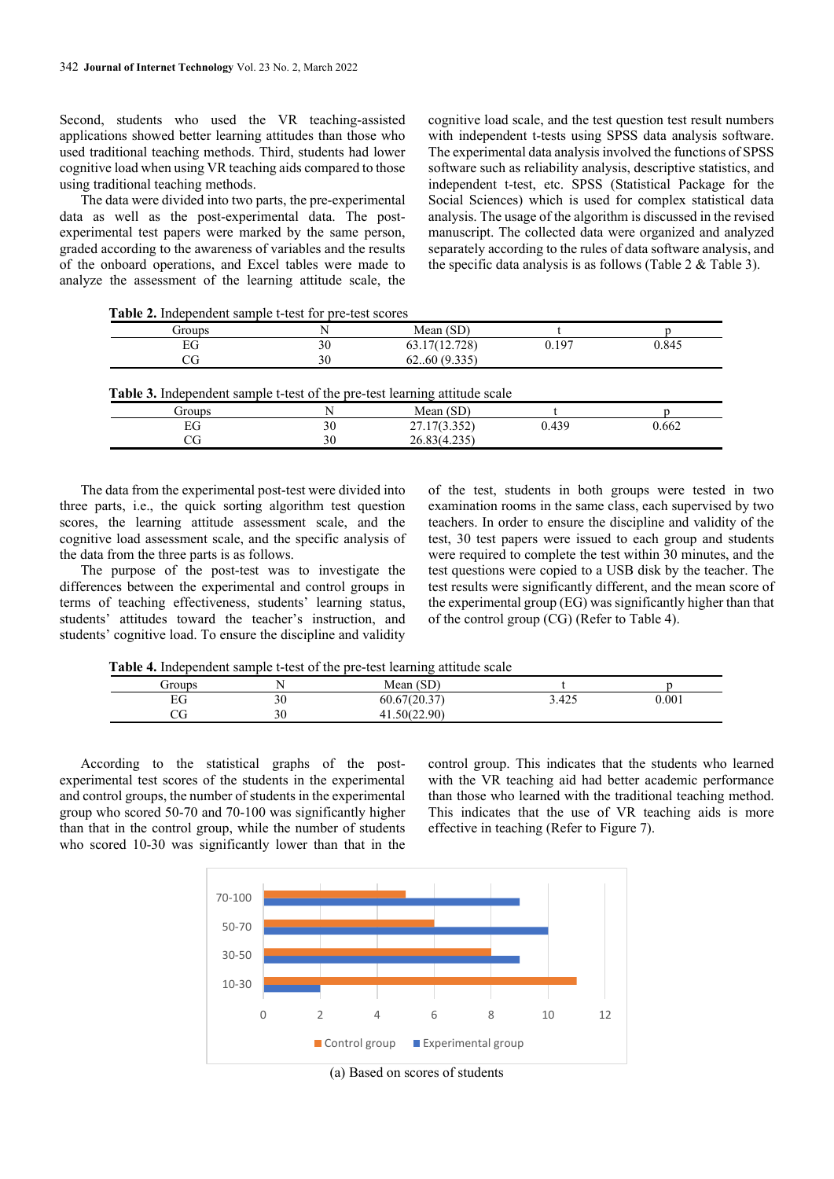Second, students who used the VR teaching-assisted applications showed better learning attitudes than those who used traditional teaching methods. Third, students had lower cognitive load when using VR teaching aids compared to those using traditional teaching methods.

The data were divided into two parts, the pre-experimental data as well as the post-experimental data. The postexperimental test papers were marked by the same person, graded according to the awareness of variables and the results of the onboard operations, and Excel tables were made to analyze the assessment of the learning attitude scale, the

cognitive load scale, and the test question test result numbers with independent t-tests using SPSS data analysis software. The experimental data analysis involved the functions of SPSS software such as reliability analysis, descriptive statistics, and independent t-test, etc. SPSS (Statistical Package for the Social Sciences) which is used for complex statistical data analysis. The usage of the algorithm is discussed in the revised manuscript. The collected data were organized and analyzed separately according to the rules of data software analysis, and the specific data analysis is as follows (Table 2 & Table 3).

**Table 2.** Independent sample t-test for pre-test scores

| Groups |    | Mean $(SD)$   |       |       |
|--------|----|---------------|-------|-------|
| EG     | 30 | 63.17(12.728) | 0.197 | 0.845 |
|        | 30 | 6260(9.335)   |       |       |

| <b>Table 3.</b> Independent sample t-test of the pre-test rearning attitude scale |    |              |       |       |  |
|-----------------------------------------------------------------------------------|----|--------------|-------|-------|--|
| froups                                                                            |    | Mean (SD)    |       |       |  |
|                                                                                   |    | 27.17(3.352) | 0.439 | 0.662 |  |
|                                                                                   | 30 | 26.83(4.235) |       |       |  |
|                                                                                   |    |              |       |       |  |

The data from the experimental post-test were divided into three parts, i.e., the quick sorting algorithm test question scores, the learning attitude assessment scale, and the cognitive load assessment scale, and the specific analysis of the data from the three parts is as follows.

The purpose of the post-test was to investigate the differences between the experimental and control groups in terms of teaching effectiveness, students' learning status, students' attitudes toward the teacher's instruction, and students' cognitive load. To ensure the discipline and validity

of the test, students in both groups were tested in two examination rooms in the same class, each supervised by two teachers. In order to ensure the discipline and validity of the test, 30 test papers were issued to each group and students were required to complete the test within 30 minutes, and the test questions were copied to a USB disk by the teacher. The test results were significantly different, and the mean score of the experimental group (EG) was significantly higher than that of the control group (CG) (Refer to Table 4).

**Table 4.** Independent sample t-test of the pre-test learning attitude scale

| Groups    |    | Mean $(SD)$  |       |       |
|-----------|----|--------------|-------|-------|
| EG        | 30 | 60.67(20.37) | 3.425 | 0.001 |
| $\rm{CG}$ | 30 | 41.50(22.90) |       |       |

According to the statistical graphs of the postexperimental test scores of the students in the experimental and control groups, the number of students in the experimental group who scored 50-70 and 70-100 was significantly higher than that in the control group, while the number of students who scored 10-30 was significantly lower than that in the

control group. This indicates that the students who learned with the VR teaching aid had better academic performance than those who learned with the traditional teaching method. This indicates that the use of VR teaching aids is more effective in teaching (Refer to Figure 7).



(a) Based on scores of students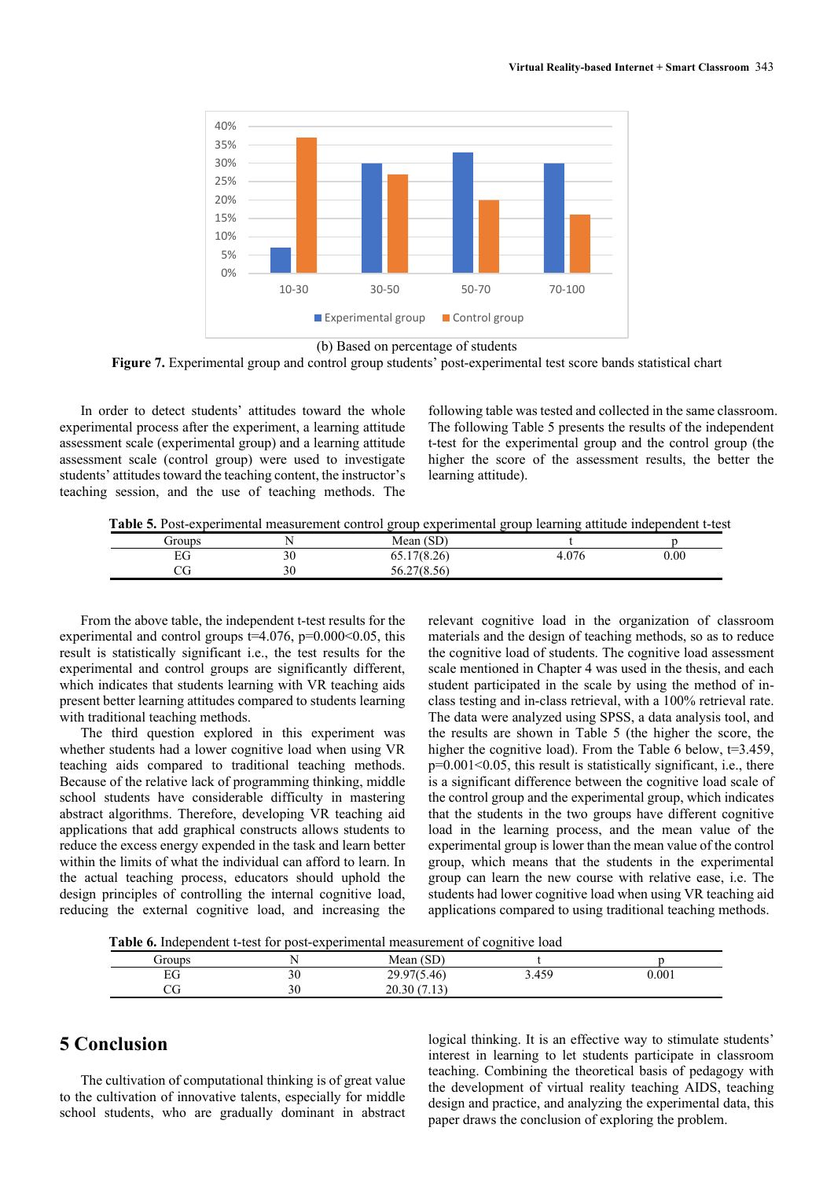

(b) Based on percentage of students

Figure 7. Experimental group and control group students' post-experimental test score bands statistical chart

In order to detect students' attitudes toward the whole experimental process after the experiment, a learning attitude assessment scale (experimental group) and a learning attitude assessment scale (control group) were used to investigate students' attitudes toward the teaching content, the instructor's teaching session, and the use of teaching methods. The

following table was tested and collected in the same classroom. The following Table 5 presents the results of the independent t-test for the experimental group and the control group (the higher the score of the assessment results, the better the learning attitude).

**Table 5.** Post-experimental measurement control group experimental group learning attitude independent t-test

| Groups |    | Mean $(SD)$      |       |      |
|--------|----|------------------|-------|------|
| ЕG     | 30 | 17(8.26)<br>0.17 | 4.076 | 0.00 |
| מר     | 30 | 56.27(8.56)      |       |      |

From the above table, the independent t-test results for the experimental and control groups  $t=4.076$ ,  $p=0.000<0.05$ , this result is statistically significant i.e., the test results for the experimental and control groups are significantly different, which indicates that students learning with VR teaching aids present better learning attitudes compared to students learning with traditional teaching methods.

The third question explored in this experiment was whether students had a lower cognitive load when using VR teaching aids compared to traditional teaching methods. Because of the relative lack of programming thinking, middle school students have considerable difficulty in mastering abstract algorithms. Therefore, developing VR teaching aid applications that add graphical constructs allows students to reduce the excess energy expended in the task and learn better within the limits of what the individual can afford to learn. In the actual teaching process, educators should uphold the design principles of controlling the internal cognitive load, reducing the external cognitive load, and increasing the relevant cognitive load in the organization of classroom materials and the design of teaching methods, so as to reduce the cognitive load of students. The cognitive load assessment scale mentioned in Chapter 4 was used in the thesis, and each student participated in the scale by using the method of inclass testing and in-class retrieval, with a 100% retrieval rate. The data were analyzed using SPSS, a data analysis tool, and the results are shown in Table 5 (the higher the score, the higher the cognitive load). From the Table 6 below, t=3.459,  $p=0.001<0.05$ , this result is statistically significant, i.e., there is a significant difference between the cognitive load scale of the control group and the experimental group, which indicates that the students in the two groups have different cognitive load in the learning process, and the mean value of the experimental group is lower than the mean value of the control group, which means that the students in the experimental group can learn the new course with relative ease, i.e. The students had lower cognitive load when using VR teaching aid applications compared to using traditional teaching methods.

**Table 6.** Independent t-test for post-experimental measurement of cognitive load

| Groups    |    | (SD)<br>Mean |       |       |
|-----------|----|--------------|-------|-------|
| EС<br>DJ. | 30 | 29.97(5.46)  | 3.459 | 0.001 |
| w         | 30 | 20.30(7.13)  |       |       |

## **5 Conclusion**

The cultivation of computational thinking is of great value to the cultivation of innovative talents, especially for middle school students, who are gradually dominant in abstract logical thinking. It is an effective way to stimulate students' interest in learning to let students participate in classroom teaching. Combining the theoretical basis of pedagogy with the development of virtual reality teaching AIDS, teaching design and practice, and analyzing the experimental data, this paper draws the conclusion of exploring the problem.